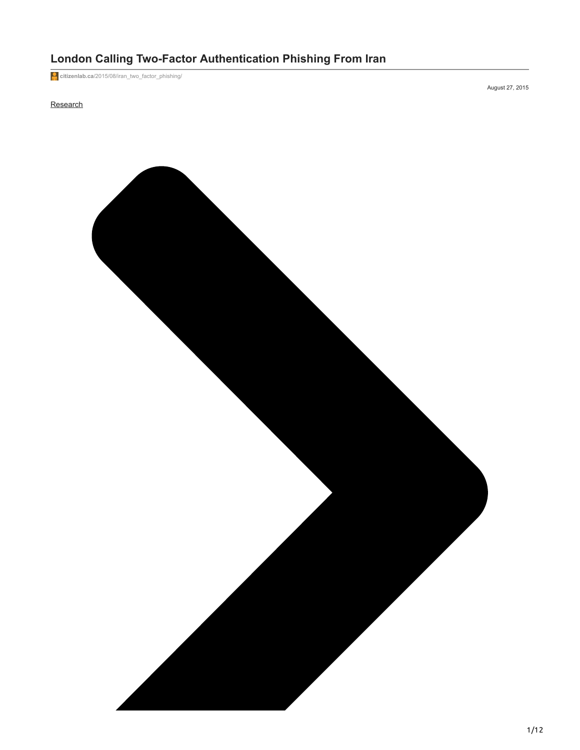# **London Calling Two-Factor Authentication Phishing From Iran**

**citizenlab.ca**[/2015/08/iran\\_two\\_factor\\_phishing/](https://citizenlab.ca/2015/08/iran_two_factor_phishing/)

# **[Research](https://citizenlab.ca/category/research/)**

August 27, 2015

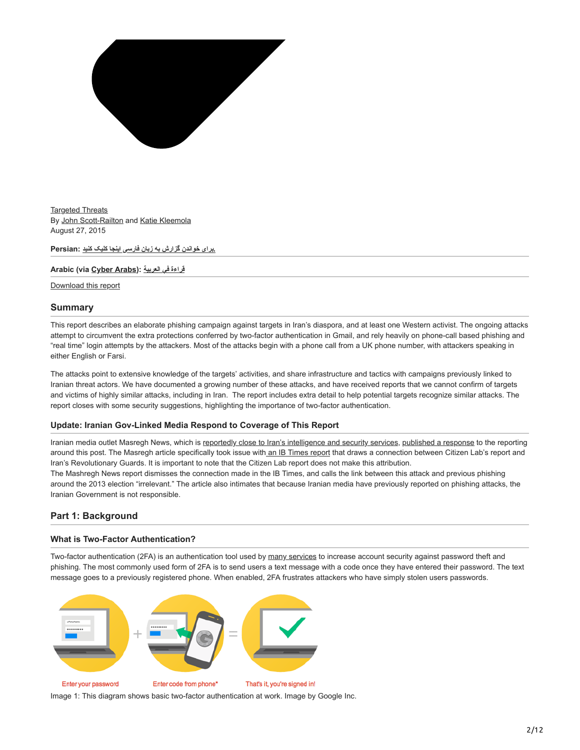

[Targeted Threats](https://citizenlab.ca/category/research/targeted-threats/) By [John Scott-Railton](https://citizenlab.ca/author/jsrailton/) and [Katie Kleemola](https://citizenlab.ca/author/kkleemola/) August 27, 2015

**[.برای خواندن گزارش به زبان فارسی اینجا کلیک کنید](https://citizenlab.ca/2015/08/iran_two_factor_phishing_farsi/) :Persian**

#### **Arabic (via [Cyber Arabs](https://www.cyber-arabs.com/)): [العربیة في قراءة](https://www.cyber-arabs.com/?p=11034)**

[Download this report](https://tspace.library.utoronto.ca/bitstream/1807/97849/1/Report%2361--londoncalling.pdf)

## **Summary**

This report describes an elaborate phishing campaign against targets in Iran's diaspora, and at least one Western activist. The ongoing attacks attempt to circumvent the extra protections conferred by two-factor authentication in Gmail, and rely heavily on phone-call based phishing and "real time" login attempts by the attackers. Most of the attacks begin with a phone call from a UK phone number, with attackers speaking in either English or Farsi.

The attacks point to extensive knowledge of the targets' activities, and share infrastructure and tactics with campaigns previously linked to Iranian threat actors. We have documented a growing number of these attacks, and have received reports that we cannot confirm of targets and victims of highly similar attacks, including in Iran. The report includes extra detail to help potential targets recognize similar attacks. The report closes with some security suggestions, highlighting the importance of two-factor authentication.

## **Update: Iranian Gov-Linked Media Respond to Coverage of This Report**

Iranian media outlet Masregh News, which is [reportedly close to Iran's intelligence and security services](http://www.pbs.org/wgbh/pages/frontline/tehranbureau/2011/05/iranian-medias-many-angles-on-death-of-osama-bin-laden.html), [published a response](http://www.mashreghnews.ir/fa/news/460549/%D8%AD%D9%85%D9%84%D9%87-%D8%B1%D8%B3%D8%A7%D9%86%D9%87%E2%80%8C%D8%A7%DB%8C-%D8%A8%D9%87-%D8%B3%D9%BE%D8%A7%D9%87-%D8%A8%D9%87-%D8%A7%D8%AA%D9%87%D8%A7%D9%85-%D8%B9%D9%85%D9%84%DB%8C%D8%A7%D8%AA-%D9%81%DB%8C%D8%B4%DB%8C%D9%86%DA%AF-%D8%B1%D9%88%DB%8C-%DA%A9%D8%A7%D8%B1%D8%A8%D8%B1%D8%A7%D9%86-%DA%AF%D9%88%DA%AF%D9%84) to the reporting around this post. The Masregh article specifically took issue with [an IB Times report](http://www.ibtimes.com/iranian-military-hackers-launched-google-phishing-campaign-against-us-middle-east-2072034) that draws a connection between Citizen Lab's report and Iran's Revolutionary Guards. It is important to note that the Citizen Lab report does not make this attribution. The Mashregh News report dismisses the connection made in the IB Times, and calls the link between this attack and previous phishing around the 2013 election "irrelevant." The article also intimates that because Iranian media have previously reported on phishing attacks, the Iranian Government is not responsible.

# **Part 1: Background**

## **What is Two-Factor Authentication?**

Two-factor authentication (2FA) is an authentication tool used by [many services](https://twofactorauth.org/) to increase account security against password theft and phishing. The most commonly used form of 2FA is to send users a text message with a code once they have entered their password. The text message goes to a previously registered phone. When enabled, 2FA frustrates attackers who have simply stolen users passwords.



Image 1: This diagram shows basic two-factor authentication at work. Image by Google Inc.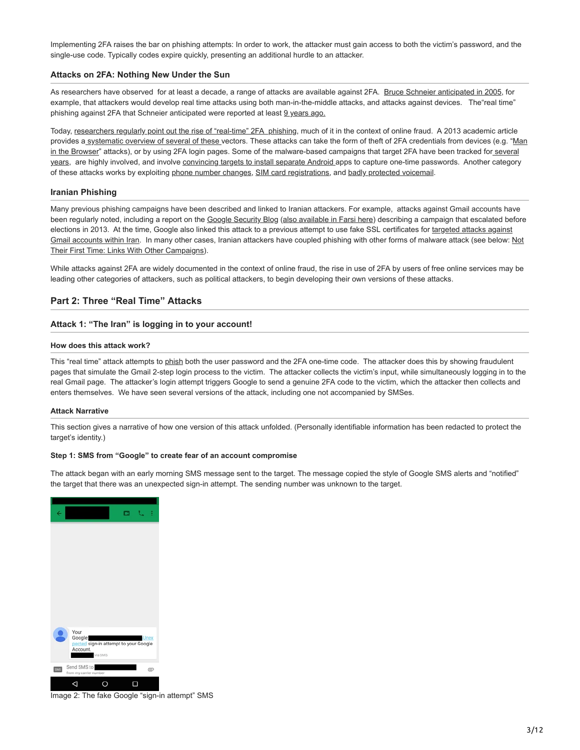Implementing 2FA raises the bar on phishing attempts: In order to work, the attacker must gain access to both the victim's password, and the single-use code. Typically codes expire quickly, presenting an additional hurdle to an attacker.

## **Attacks on 2FA: Nothing New Under the Sun**

As researchers have observed for at least a decade, a range of attacks are available against 2FA. [Bruce Schneier anticipated in 2005,](https://www.schneier.com/blog/archives/2005/03/the_failure_of.html) for example, that attackers would develop real time attacks using both man-in-the-middle attacks, and attacks against devices. The"real time" phishing against 2FA that Schneier anticipated were reported at least [9 years ago.](http://www.theregister.co.uk/2006/07/13/2-factor_phishing_attack)

Today, [researchers regularly point out the rise of "real-time" 2FA phishing,](https://securityintelligence.com/real-time-phishing-takes-off/#.VdOTBHhh1Bw) much of it in the context of online fraud. A 2013 academic article [provides a systematic overview of several of these vectors. These attacks can take the form of theft of 2FA credentials from devices \(e.g. "Man](http://www.bbc.com/news/technology-16812064) [in the Browser" attacks\), or by using 2FA login pages. Some of the malware-based campaigns that target 2FA have been tracked for several](http://blog.trendmicro.com/trendlabs-security-intelligence/zeus-now-bypasses-two-factor-authentication/) years, are highly involved, and involve [convincing targets to install separate Android](https://www.duosecurity.com/blog/answer-to-otp-bypass-out-of-band-two-factor-authentication) apps to capture one-time passwords. Another category of these attacks works by exploiting [phone number changes,](http://www.itnews.com.au/News/282310,45k-stolen-in-phone-porting-scam.aspx) [SIM card registrations](https://nakedsecurity.sophos.com/2013/01/20/indian-two-factor-authentication-fraudsters-busted-by-delhi-cops/), and [badly protected voicemail.](http://shubh.am/how-i-bypassed-2-factor-authentication-on-google-yahoo-linkedin-and-many-others/#concept)

# **Iranian Phishing**

Many previous phishing campaigns have been described and linked to Iranian attackers. For example, attacks against Gmail accounts have been regularly noted, including a report on the [Google Security Blog](http://googleonlinesecurity.blogspot.com/2013/06/iranian-phishing-on-rise-as-elections.html) ([also available in Farsi here\)](http://googlepersianblog.blogspot.com/2013/06/blog-post.html) describing a campaign that escalated before [elections in 2013. At the time, Google also linked this attack to a previous attempt to use fake SSL certificates for targeted attacks against](http://googleonlinesecurity.blogspot.com/2011/09/gmail-account-security-in-iran.html) [Gmail accounts within Iran. In many other cases, Iranian attackers have coupled phishing with other forms of malware attack \(see below: Not](#page-9-0) Their First Time: Links With Other Campaigns).

While attacks against 2FA are widely documented in the context of online fraud, the rise in use of 2FA by users of free online services may be leading other categories of attackers, such as political attackers, to begin developing their own versions of these attacks.

# **Part 2: Three "Real Time" Attacks**

# **Attack 1: "The Iran" is logging in to your account!**

#### **How does this attack work?**

This "real time" attack attempts to [phish](https://en.wikipedia.org/wiki/Phishing) both the user password and the 2FA one-time code. The attacker does this by showing fraudulent pages that simulate the Gmail 2-step login process to the victim. The attacker collects the victim's input, while simultaneously logging in to the real Gmail page. The attacker's login attempt triggers Google to send a genuine 2FA code to the victim, which the attacker then collects and enters themselves. We have seen several versions of the attack, including one not accompanied by SMSes.

#### **Attack Narrative**

This section gives a narrative of how one version of this attack unfolded. (Personally identifiable information has been redacted to protect the target's identity.)

#### **Step 1: SMS from "Google" to create fear of an account compromise**

The attack began with an early morning SMS message sent to the target. The message copied the style of Google SMS alerts and "notified" the target that there was an unexpected sign-in attempt. The sending number was unknown to the target.



Image 2: The fake Google "sign-in attempt" SMS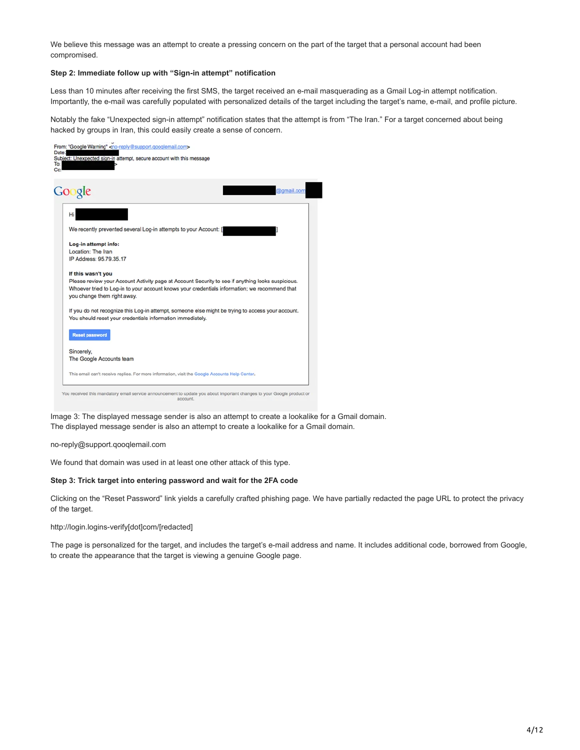We believe this message was an attempt to create a pressing concern on the part of the target that a personal account had been compromised.

# **Step 2: Immediate follow up with "Sign-in attempt" notification**

Less than 10 minutes after receiving the first SMS, the target received an e-mail masquerading as a Gmail Log-in attempt notification. Importantly, the e-mail was carefully populated with personalized details of the target including the target's name, e-mail, and profile picture.

Notably the fake "Unexpected sign-in attempt" notification states that the attempt is from "The Iran." For a target concerned about being hacked by groups in Iran, this could easily create a sense of concern.



Image 3: The displayed message sender is also an attempt to create a lookalike for a Gmail domain. The displayed message sender is also an attempt to create a lookalike for a Gmail domain.

no-reply@support.qooqlemail.com

We found that domain was used in at least one other attack of this type.

# **Step 3: Trick target into entering password and wait for the 2FA code**

Clicking on the "Reset Password" link yields a carefully crafted phishing page. We have partially redacted the page URL to protect the privacy of the target.

http://login.logins-verify[dot]com/[redacted]

The page is personalized for the target, and includes the target's e-mail address and name. It includes additional code, borrowed from Google, to create the appearance that the target is viewing a genuine Google page.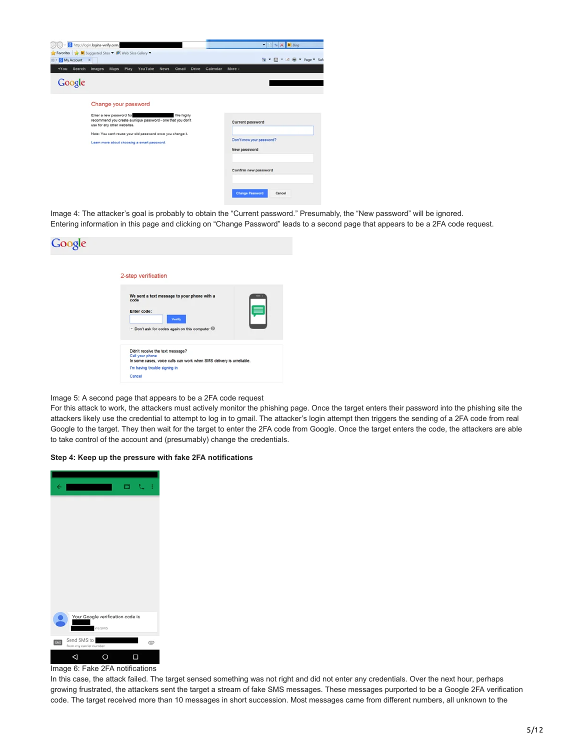|                                        | http://login.logins-verify.com/                                                                                                                                                                                                                              |                        |                       |          | $\bullet$ $\odot$ $\bullet$ $\times$ $\bullet$ Bing                                                                       |  |
|----------------------------------------|--------------------------------------------------------------------------------------------------------------------------------------------------------------------------------------------------------------------------------------------------------------|------------------------|-----------------------|----------|---------------------------------------------------------------------------------------------------------------------------|--|
| 88 - My Account X<br>Search<br>$+$ You | Favorites <b>D</b> Suggested Sites <b>D</b> Web Slice Gallery<br>Play<br><b>Images</b><br><b>Maps</b>                                                                                                                                                        | YouTube<br><b>News</b> | Gmail<br><b>Drive</b> | Calendar | 全 → 図 → 回 等 → Page → Safi<br>More -                                                                                       |  |
| Google                                 |                                                                                                                                                                                                                                                              |                        |                       |          |                                                                                                                           |  |
|                                        | Change your password<br>Enter a new password for<br>recommend you create a unique password - one that you don't<br>use for any other websites.<br>Note: You can't reuse your old password once you change it.<br>Learn more about choosing a smart password. |                        | We highly             |          | Current password<br>Don't know your password?<br>New password<br>Confirm new password<br><b>Change Password</b><br>Cancel |  |

Image 4: The attacker's goal is probably to obtain the "Current password." Presumably, the "New password" will be ignored. Entering information in this page and clicking on "Change Password" leads to a second page that appears to be a 2FA code request.

| Google |                                                                                                                                                                        |
|--------|------------------------------------------------------------------------------------------------------------------------------------------------------------------------|
|        | 2-step verification                                                                                                                                                    |
|        | We sent a text message to your phone with a<br>F<br>code<br>Enter code:<br>Verify<br>* Don't ask for codes again on this computer @                                    |
|        | Didn't receive the text message?<br>Call your phone<br>In some cases, voice calls can work when SMS delivery is unreliable.<br>I'm having trouble signing in<br>Cancel |

## Image 5: A second page that appears to be a 2FA code request

For this attack to work, the attackers must actively monitor the phishing page. Once the target enters their password into the phishing site the attackers likely use the credential to attempt to log in to gmail. The attacker's login attempt then triggers the sending of a 2FA code from real Google to the target. They then wait for the target to enter the 2FA code from Google. Once the target enters the code, the attackers are able to take control of the account and (presumably) change the credentials.

## **Step 4: Keep up the pressure with fake 2FA notifications**



In this case, the attack failed. The target sensed something was not right and did not enter any credentials. Over the next hour, perhaps growing frustrated, the attackers sent the target a stream of fake SMS messages. These messages purported to be a Google 2FA verification code. The target received more than 10 messages in short succession. Most messages came from different numbers, all unknown to the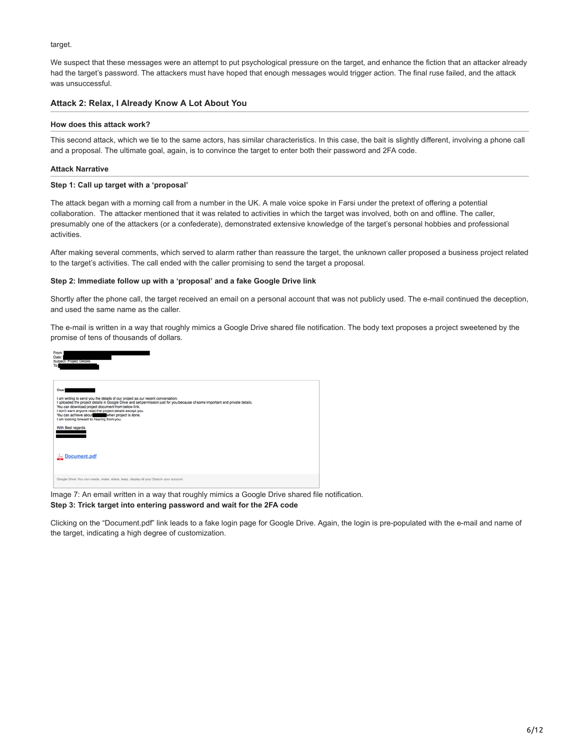#### target.

We suspect that these messages were an attempt to put psychological pressure on the target, and enhance the fiction that an attacker already had the target's password. The attackers must have hoped that enough messages would trigger action. The final ruse failed, and the attack was unsuccessful.

# **Attack 2: Relax, I Already Know A Lot About You**

#### **How does this attack work?**

This second attack, which we tie to the same actors, has similar characteristics. In this case, the bait is slightly different, involving a phone call and a proposal. The ultimate goal, again, is to convince the target to enter both their password and 2FA code.

## **Attack Narrative**

#### **Step 1: Call up target with a 'proposal'**

The attack began with a morning call from a number in the UK. A male voice spoke in Farsi under the pretext of offering a potential collaboration. The attacker mentioned that it was related to activities in which the target was involved, both on and offline. The caller, presumably one of the attackers (or a confederate), demonstrated extensive knowledge of the target's personal hobbies and professional activities.

After making several comments, which served to alarm rather than reassure the target, the unknown caller proposed a business project related to the target's activities. The call ended with the caller promising to send the target a proposal.

## **Step 2: Immediate follow up with a 'proposal' and a fake Google Drive link**

Shortly after the phone call, the target received an email on a personal account that was not publicly used. The e-mail continued the deception, and used the same name as the caller.

The e-mail is written in a way that roughly mimics a Google Drive shared file notification. The body text proposes a project sweetened by the promise of tens of thousands of dollars.



Image 7: An email written in a way that roughly mimics a Google Drive shared file notification. **Step 3: Trick target into entering password and wait for the 2FA code**

Clicking on the "Document.pdf" link leads to a fake login page for Google Drive. Again, the login is pre-populated with the e-mail and name of the target, indicating a high degree of customization.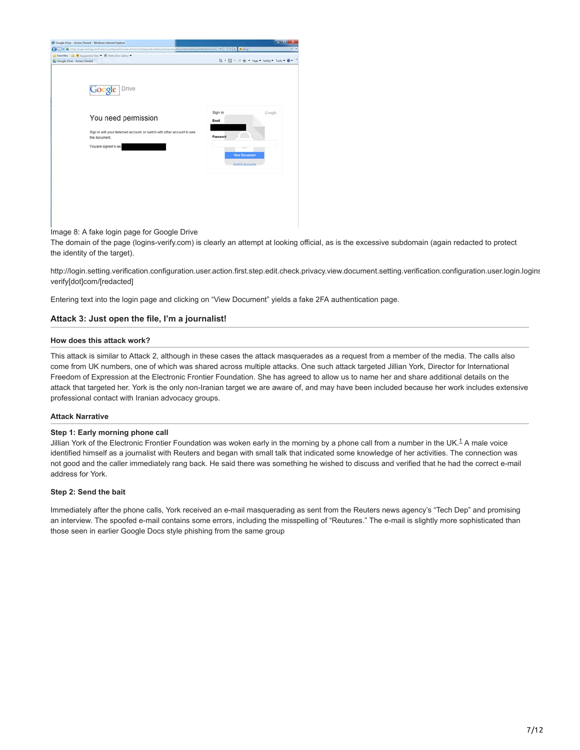| 1 Google Drive - Access Denied - Windows Internet Explorer                                                                                                 |                                                                         | $-17-x$  |
|------------------------------------------------------------------------------------------------------------------------------------------------------------|-------------------------------------------------------------------------|----------|
|                                                                                                                                                            |                                                                         | $\rho$ + |
| Favorites pr M Suppested Sites " 19 Web Slice Gallery "                                                                                                    |                                                                         |          |
| & Google Drive - Access Denied                                                                                                                             | G - 回 - 2 m - Page - Safety - Tools - 日 -                               |          |
| Drive<br>Google<br>You need permission<br>Sign in with your detected account, or switch with other account to see<br>the document.<br>You are signed in as | Sign in<br>Email<br>Password<br><b>View Document</b><br>Switch accounts | Google   |

Image 8: A fake login page for Google Drive

The domain of the page (logins-verify.com) is clearly an attempt at looking official, as is the excessive subdomain (again redacted to protect the identity of the target).

http://login.setting.verification.configuration.user.action.first.step.edit.check.privacy.view.document.setting.verification.configuration.user.login.logins verify[dot]com/[redacted]

Entering text into the login page and clicking on "View Document" yields a fake 2FA authentication page.

# **Attack 3: Just open the file, I'm a journalist!**

#### **How does this attack work?**

This attack is similar to Attack 2, although in these cases the attack masquerades as a request from a member of the media. The calls also come from UK numbers, one of which was shared across multiple attacks. One such attack targeted Jillian York, Director for International Freedom of Expression at the Electronic Frontier Foundation. She has agreed to allow us to name her and share additional details on the attack that targeted her. York is the only non-Iranian target we are aware of, and may have been included because her work includes extensive professional contact with Iranian advocacy groups.

#### **Attack Narrative**

#### **Step 1: Early morning phone call**

Jillian York of the Electronic Frontier Foundation was woken early in the morning by a phone call from a number in the UK.<sup>[1](#page-11-0)</sup> A male voice identified himself as a journalist with Reuters and began with small talk that indicated some knowledge of her activities. The connection was not good and the caller immediately rang back. He said there was something he wished to discuss and verified that he had the correct e-mail address for York.

#### **Step 2: Send the bait**

Immediately after the phone calls, York received an e-mail masquerading as sent from the Reuters news agency's "Tech Dep" and promising an interview. The spoofed e-mail contains some errors, including the misspelling of "Reutures." The e-mail is slightly more sophisticated than those seen in earlier Google Docs style phishing from the same group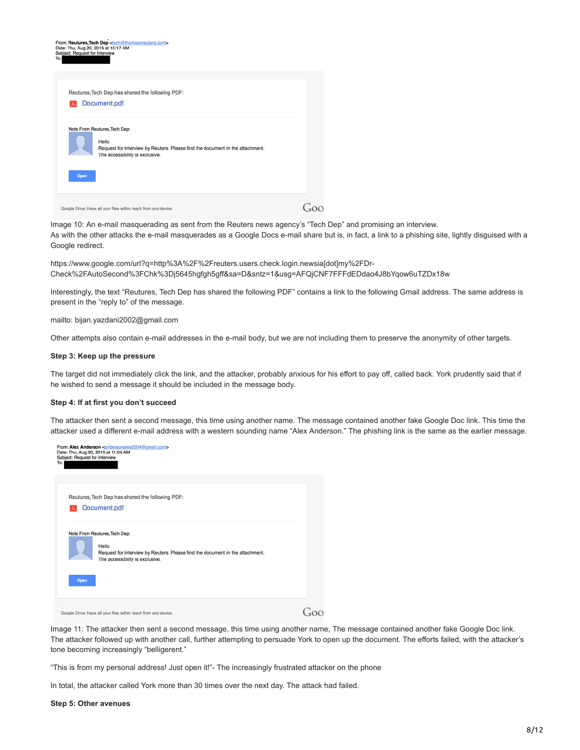

Image 10: An e-mail masquerading as sent from the Reuters news agency's "Tech Dep" and promising an interview. As with the other attacks the e-mail masquerades as a Google Docs e-mail share but is, in fact, a link to a phishing site, lightly disguised with a Google redirect.

https://www.google.com/url?q=http%3A%2F%2Freuters.users.check.login.newsia[dot]my%2FDr-Check%2FAutoSecond%3FChk%3Dj5645hgfgh5gff&sa=D&sntz=1&usg=AFQjCNF7FFFdEDdao4J8bYqow6uTZDx18w

Interestingly, the text "Reutures, Tech Dep has shared the following PDF" contains a link to the following Gmail address. The same address is present in the "reply to" of the message.

mailto: bijan.yazdani2002@gmail.com

Other attempts also contain e-mail addresses in the e-mail body, but we are not including them to preserve the anonymity of other targets.

#### **Step 3: Keep up the pressure**

The target did not immediately click the link, and the attacker, probably anxious for his effort to pay off, called back. York prudently said that if he wished to send a message it should be included in the message body.

#### **Step 4: If at first you don't succeed**

The attacker then sent a second message, this time using another name. The message contained another fake Google Doc link. This time the attacker used a different e-mail address with a western sounding name "Alex Anderson." The phishing link is the same as the earlier message.



Image 11: The attacker then sent a second message, this time using another name, The message contained another fake Google Doc link. The attacker followed up with another call, further attempting to persuade York to open up the document. The efforts failed, with the attacker's tone becoming increasingly "belligerent."

"This is from my personal address! Just open it!"- The increasingly frustrated attacker on the phone

In total, the attacker called York more than 30 times over the next day. The attack had failed.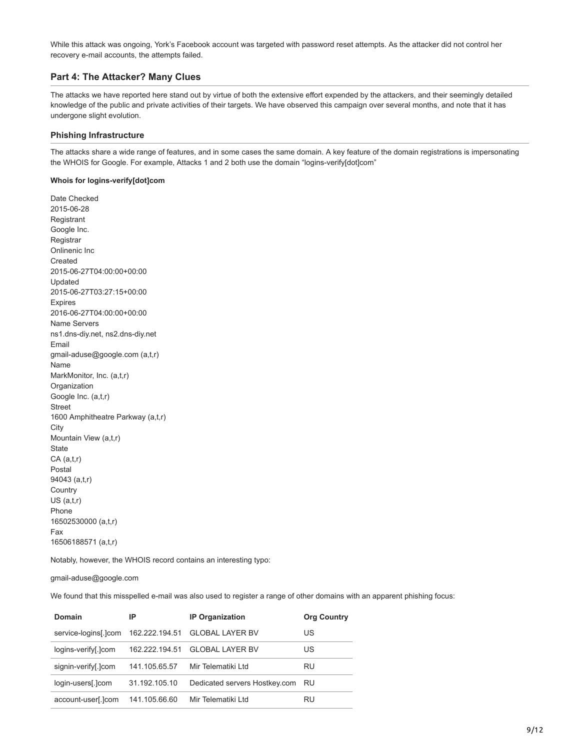While this attack was ongoing, York's Facebook account was targeted with password reset attempts. As the attacker did not control her recovery e-mail accounts, the attempts failed.

# **Part 4: The Attacker? Many Clues**

The attacks we have reported here stand out by virtue of both the extensive effort expended by the attackers, and their seemingly detailed knowledge of the public and private activities of their targets. We have observed this campaign over several months, and note that it has undergone slight evolution.

# **Phishing Infrastructure**

The attacks share a wide range of features, and in some cases the same domain. A key feature of the domain registrations is impersonating the WHOIS for Google. For example, Attacks 1 and 2 both use the domain "logins-verify[dot]com"

# **Whois for logins-verify[dot]com**

Date Checked 2015-06-28 Registrant Google Inc. **Registrar** Onlinenic Inc Created 2015-06-27T04:00:00+00:00 Updated 2015-06-27T03:27:15+00:00 Expires 2016-06-27T04:00:00+00:00 Name Servers ns1.dns-diy.net, ns2.dns-diy.net Email gmail-aduse@google.com (a,t,r) Name MarkMonitor, Inc. (a,t,r) Organization Google Inc. (a,t,r) Street 1600 Amphitheatre Parkway (a,t,r) **City** Mountain View (a,t,r) State CA (a,t,r) Postal 94043 (a,t,r) **Country** US (a,t,r) Phone 16502530000 (a,t,r) Fax 16506188571 (a,t,r)

Notably, however, the WHOIS record contains an interesting typo:

# gmail-aduse@google.com

We found that this misspelled e-mail was also used to register a range of other domains with an apparent phishing focus:

| Domain               | IP             | <b>IP Organization</b>        | <b>Org Country</b> |
|----------------------|----------------|-------------------------------|--------------------|
| service-logins[.]com | 162.222.194.51 | <b>GLOBAL LAYER BV</b>        | US                 |
| logins-verify[.]com  | 162 222 194 51 | <b>GLOBAL LAYER BV</b>        | US                 |
| signin-verify[.]com  | 141.105.65.57  | Mir Telematiki Ltd            | RU                 |
| login-users[.]com    | 31.192.105.10  | Dedicated servers Hostkey.com | RU                 |
| account-user[.]com   | 141.105.66.60  | Mir Telematiki Ltd            | RU                 |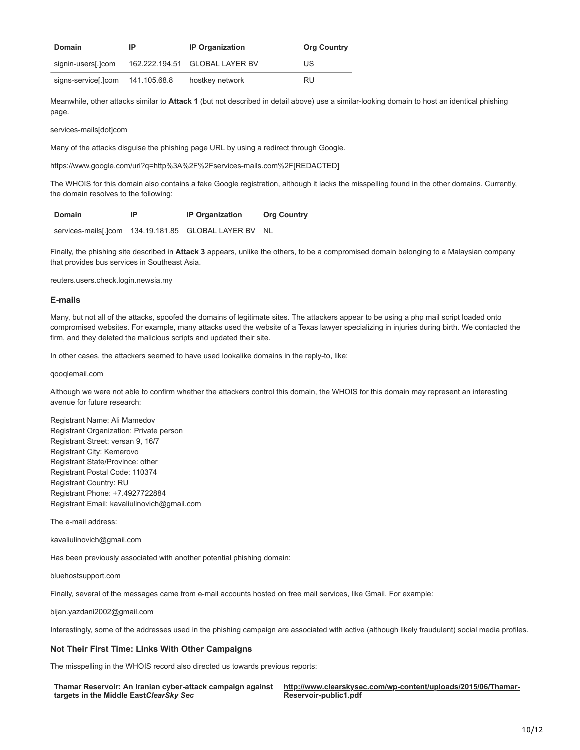| Domain              | IP           | <b>IP Organization</b>         | <b>Org Country</b> |
|---------------------|--------------|--------------------------------|--------------------|
| signin-users[.]com  |              | 162.222.194.51 GLOBAL LAYER BV | US                 |
| signs-service[.]com | 141.105.68.8 | hostkey network                | RU                 |

Meanwhile, other attacks similar to **Attack 1** (but not described in detail above) use a similar-looking domain to host an identical phishing page.

services-mails[dot]com

Many of the attacks disguise the phishing page URL by using a redirect through Google.

https://www.google.com/url?q=http%3A%2F%2Fservices-mails.com%2F[REDACTED]

The WHOIS for this domain also contains a fake Google registration, although it lacks the misspelling found in the other domains. Currently, the domain resolves to the following:

services-mails[.]com 134.19.181.85 GLOBAL LAYER BV NL

Finally, the phishing site described in **Attack 3** appears, unlike the others, to be a compromised domain belonging to a Malaysian company that provides bus services in Southeast Asia.

reuters.users.check.login.newsia.my

#### **E-mails**

Many, but not all of the attacks, spoofed the domains of legitimate sites. The attackers appear to be using a php mail script loaded onto compromised websites. For example, many attacks used the website of a Texas lawyer specializing in injuries during birth. We contacted the firm, and they deleted the malicious scripts and updated their site.

In other cases, the attackers seemed to have used lookalike domains in the reply-to, like:

qooqlemail.com

Although we were not able to confirm whether the attackers control this domain, the WHOIS for this domain may represent an interesting avenue for future research:

Registrant Name: Ali Mamedov Registrant Organization: Private person Registrant Street: versan 9, 16/7 Registrant City: Kemerovo Registrant State/Province: other Registrant Postal Code: 110374 Registrant Country: RU Registrant Phone: +7.4927722884 Registrant Email: kavaliulinovich@gmail.com

The e-mail address:

kavaliulinovich@gmail.com

Has been previously associated with another potential phishing domain:

bluehostsupport.com

Finally, several of the messages came from e-mail accounts hosted on free mail services, like Gmail. For example:

bijan.yazdani2002@gmail.com

<span id="page-9-0"></span>Interestingly, some of the addresses used in the phishing campaign are associated with active (although likely fraudulent) social media profiles.

# **Not Their First Time: Links With Other Campaigns**

The misspelling in the WHOIS record also directed us towards previous reports:

**Thamar Reservoir: An Iranian cyber-attack campaign against targets in the Middle East***ClearSky Sec*

**[http://www.clearskysec.com/wp-content/uploads/2015/06/Thamar-](http://www.clearskysec.com/wp-content/uploads/2015/06/Thamar-Reservoir-public1.pdf)Reservoir-public1.pdf**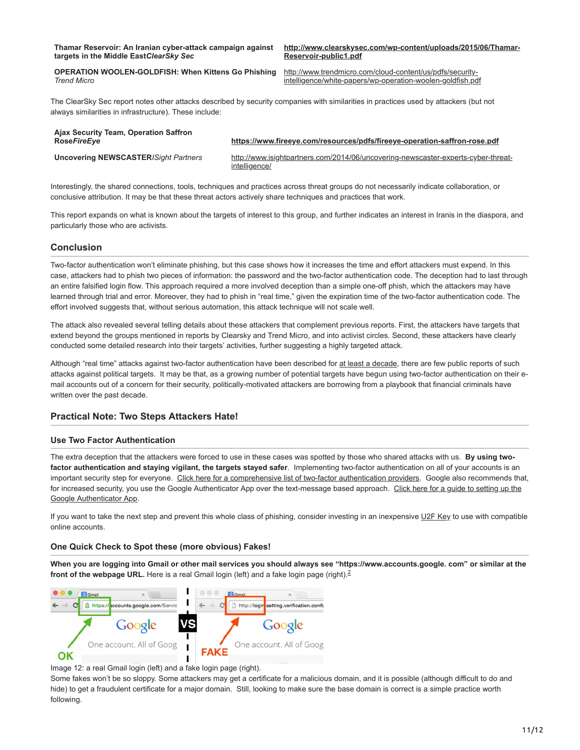**[http://www.clearskysec.com/wp-content/uploads/2015/06/Thamar-](http://www.clearskysec.com/wp-content/uploads/2015/06/Thamar-Reservoir-public1.pdf)Reservoir-public1.pdf**

**OPERATION WOOLEN-GOLDFISH: When Kittens Go Phishing** *Trend Micro*

http://www.trendmicro.com/cloud-content/us/pdfs/security[intelligence/white-papers/wp-operation-woolen-goldfish.pdf](http://www.trendmicro.com/cloud-content/us/pdfs/security-intelligence/white-papers/wp-operation-woolen-goldfish.pdf)

The ClearSky Sec report notes other attacks described by security companies with similarities in practices used by attackers (but not always similarities in infrastructure). These include:

| Ajax Security Team, Operation Saffron<br><b>RoseFireEve</b> | https://www.fireeye.com/resources/pdfs/fireeye-operation-saffron-rose.pdf                                                                 |
|-------------------------------------------------------------|-------------------------------------------------------------------------------------------------------------------------------------------|
| <b>Uncovering NEWSCASTER/Sight Partners</b>                 | http://www.isightpartners.com/2014/06/uncovering-newscaster-experts-cyber-threat-<br>intelligence/                                        |
|                                                             | Interestingly, the shared connections, tools, techniques and practices across threat groups do not necessarily indicate collaboration, or |

conclusive attribution. It may be that these threat actors actively share techniques and practices that work. This report expands on what is known about the targets of interest to this group, and further indicates an interest in Iranis in the diaspora, and

# **Conclusion**

particularly those who are activists.

Two-factor authentication won't eliminate phishing, but this case shows how it increases the time and effort attackers must expend. In this case, attackers had to phish two pieces of information: the password and the two-factor authentication code. The deception had to last through an entire falsified login flow. This approach required a more involved deception than a simple one-off phish, which the attackers may have learned through trial and error. Moreover, they had to phish in "real time," given the expiration time of the two-factor authentication code. The effort involved suggests that, without serious automation, this attack technique will not scale well.

The attack also revealed several telling details about these attackers that complement previous reports. First, the attackers have targets that extend beyond the groups mentioned in reports by Clearsky and Trend Micro, and into activist circles. Second, these attackers have clearly conducted some detailed research into their targets' activities, further suggesting a highly targeted attack.

Although "real time" attacks against two-factor authentication have been described for [at least a decade](https://www.schneier.com/blog/archives/2005/03/the_failure_of.html), there are few public reports of such attacks against political targets. It may be that, as a growing number of potential targets have begun using two-factor authentication on their email accounts out of a concern for their security, politically-motivated attackers are borrowing from a playbook that financial criminals have written over the past decade.

# **Practical Note: Two Steps Attackers Hate!**

# **Use Two Factor Authentication**

The extra deception that the attackers were forced to use in these cases was spotted by those who shared attacks with us. **By using twofactor authentication and staying vigilant, the targets stayed safer**. Implementing two-factor authentication on all of your accounts is an important security step for everyone. [Click here for a comprehensive list of two-factor authentication providers.](https://twofactorauth.org/) Google also recommends that, for increased security, you use the Google Authenticator App over the text-message based approach. Click here for a quide to setting up the Google Authenticator App.

If you want to take the next step and prevent this whole class of phishing, consider investing in an inexpensive [U2F Key](https://support.google.com/accounts/answer/6103523?hl=en) to use with compatible online accounts.

# **One Quick Check to Spot these (more obvious) Fakes!**

**When you are logging into Gmail or other mail services you should always see "https://www.accounts.google. com" or similar at the front of the webpage URL.** Here is a real Gmail login (left) and a fake login page (right).<sup>[2](#page-11-0)</sup>



Image 12: a real Gmail login (left) and a fake login page (right).

Some fakes won't be so sloppy. Some attackers may get a certificate for a malicious domain, and it is possible (although difficult to do and hide) to get a fraudulent certificate for a major domain. Still, looking to make sure the base domain is correct is a simple practice worth following.